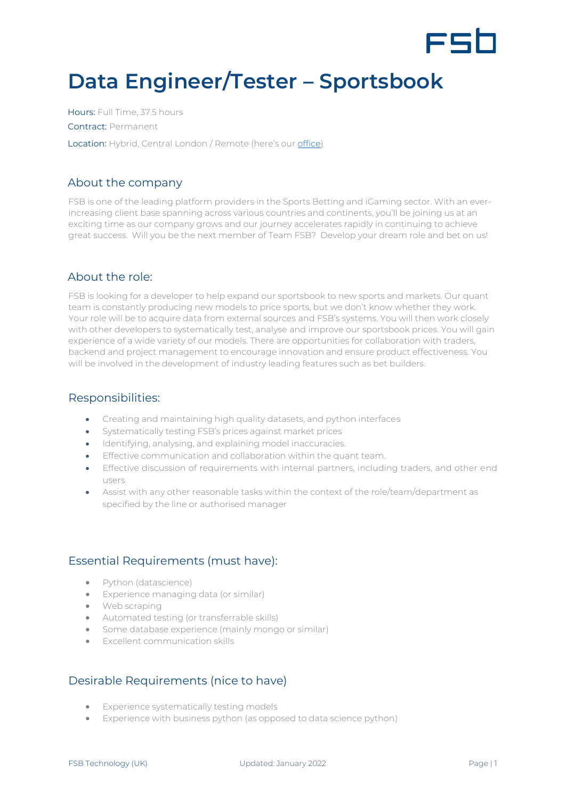

# **Data Engineer/Tester – Sportsbook**

Hours: Full Time, 37.5 hours Contract: Permanent Location: Hybrid, Central London / Remote (here's our [office\)](https://www.google.com/maps/place/Moray+house,+London/@51.5175111,-0.1425708,17z/data=!3m1!4b1!4m5!3m4!1s0x48761b2a8799d3e9:0xbc30e69c4f00c44f!8m2!3d51.5175111!4d-0.1403821)

### About the company

FSB is one of the leading platform providers in the Sports Betting and iGaming sector. With an everincreasing client base spanning across various countries and continents, you'll be joining us at an exciting time as our company grows and our journey accelerates rapidly in continuing to achieve great success. Will you be the next member of Team FSB? Develop your dream role and bet on us!

## About the role:

FSB is looking for a developer to help expand our sportsbook to new sports and markets. Our quant team is constantly producing new models to price sports, but we don't know whether they work. Your role will be to acquire data from external sources and FSB's systems. You will then work closely with other developers to systematically test, analyse and improve our sportsbook prices. You will gain experience of a wide variety of our models. There are opportunities for collaboration with traders, backend and project management to encourage innovation and ensure product effectiveness. You will be involved in the development of industry leading features such as bet builders.

#### Responsibilities:

- Creating and maintaining high quality datasets, and python interfaces
- Systematically testing FSB's prices against market prices
- Identifying, analysing, and explaining model inaccuracies.
- Effective communication and collaboration within the quant team.
- Effective discussion of requirements with internal partners, including traders, and other end users
- Assist with any other reasonable tasks within the context of the role/team/department as specified by the line or authorised manager

## Essential Requirements (must have):

- Python (datascience)
- Experience managing data (or similar)
- Web scraping
- Automated testing (or transferrable skills)
- Some database experience (mainly mongo or similar)
- Excellent communication skills

## Desirable Requirements (nice to have)

- Experience systematically testing models
- Experience with business python (as opposed to data science python)